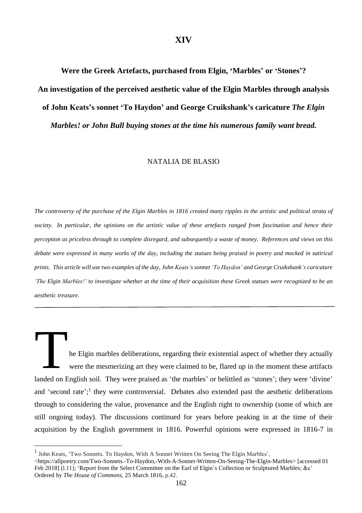### **XIV**

**Were the Greek Artefacts, purchased from Elgin, 'Marbles' or 'Stones'? An investigation of the perceived aesthetic value of the Elgin Marbles through analysis of John Keats's sonnet 'To Haydon' and George Cruikshank's caricature** *The Elgin Marbles! or John Bull buying stones at the time his numerous family want bread.*

#### NATALIA DE BLASIO

The controversy of the purchase of the Elgin Marbles in 1816 created many ripples in the artistic and political strata of society. In particular, the opinions on the artistic value of these artefacts ranged from fascination and hence their perception as priceless through to complete disregard, and subsequently a waste of money. References and views on this debate were expressed in many works of the day, including the statues being praised in poetry and mocked in satirical prints. This article will use two examples of the day, John Keats's sonnet 'To Haydon' and George Cruikshank's caricature 'The Elgin Marbles!' to investigate whether at the time of their acquisition these Greek statues were recognized to be an *aesthetic treasure.*

he Elgin marbles deliberations, regarding their existential aspect of whether they actually were the mesmerizing art they were claimed to be, flared up in the moment these artifacts landed on English soil. They were praised as 'the marbles' or belittled as 'stones'; they were 'divine' and 'second rate';<sup>1</sup> they were controversial. Debates also extended past the aesthetic deliberations through to considering the value, provenance and the English right to ownership (some of which are still ongoing today). The discussions continued for years before peaking in at the time of their acquisition by the English government in 1816. Powerful opinions were expressed in 1816-7 in T and 'second<br>through to constill ongoing<br>acquisition 1

<sup>&</sup>lt;sup>1</sup> John Keats, 'Two Sonnets. To Haydon, With A Sonnet Written On Seeing The Elgin Marbles', <br>  $\lt$ https://allpoetry.com/Two-Sonnets.-To-Haydon,-With-A-Sonnet-Written-On-Seeing-The-Elgin<br>
Feb 2018] (l.11); 'Report from th <https://allpoetry.com/Two-Sonnets.-To-Haydon,-With-A-Sonnet-Written-On-Seeing-The-Elgin-Marbles> [accessed 01 Feb 2018] (l.11); 'Report from the Select Committee on the Earl of Elgin's Collection or Sculptured Marbles; &c' Ordered by *The House of Commons,* 25 March 1816, p.42.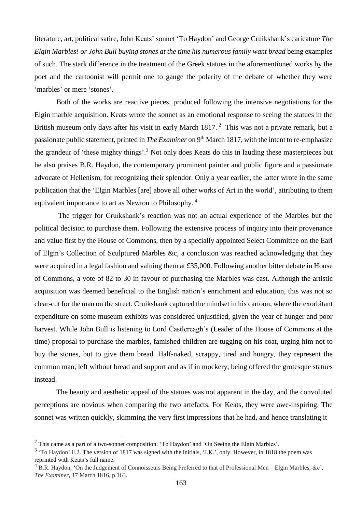literature, art, political satire, John Keats' sonnet 'To Haydon' and George Cruikshank's caricature *The Elgin Marbles! or John Bull buying stones at the time his numerous family want bread* being examples of such. The stark difference in the treatment of the Greek statues in the aforementioned works by the poet and the cartoonist will permit one to gauge the polarity of the debate of whether they were 'marbles' or mere 'stones'.

Both of the works are reactive pieces, produced following the intensive negotiations for the Elgin marble acquisition. Keats wrote the sonnet as an emotional response to seeing the statues in the British museum only days after his visit in early March 1817.<sup>2</sup> This was not a private remark, but a passionate public statement, printed in *The Examiner* on 9 th March 1817, with the intent to re-emphasize the grandeur of 'these mighty things'.<sup>3</sup> Not only does Keats do this in lauding these masterpieces but he also praises B.R. Haydon, the contemporary prominent painter and public figure and a passionate advocate of Hellenism, for recognizing their splendor. Only a year earlier, the latter wrote in the same publication that the 'Elgin Marbles [are] above all other works of Art in the world', attributing to them equivalent importance to art as Newton to Philosophy. <sup>4</sup>

The trigger for Cruikshank's reaction was not an actual experience of the Marbles but the political decision to purchase them. Following the extensive process of inquiry into their provenance and value first by the House of Commons, then by a specially appointed Select Committee on the Earl of Elgin's Collection of Sculptured Marbles &c, a conclusion was reached acknowledging that they were acquired in a legal fashion and valuing them at £35,000. Following another bitter debate in House of Commons, a vote of 82 to 30 in favour of purchasing the Marbles was cast. Although the artistic acquisition was deemed beneficial to the English nation's enrichment and education, this was not so clear-cut for the man on the street. Cruikshank captured the mindset in his cartoon, where the exorbitant expenditure on some museum exhibits was considered unjustified, given the year of hunger and poor harvest. While John Bull is listening to Lord Castlereagh's (Leader of the House of Commons at the time) proposal to purchase the marbles, famished children are tugging on his coat, urging him not to buy the stones, but to give them bread. Half-naked, scrappy, tired and hungry, they represent the common man, left without bread and support and as if in mockery, being offered the grotesque statues instead.

The beauty and aesthetic appeal of the statues was not apparent in the day, and the convoluted perceptions are obvious when comparing the two artefacts. For Keats, they were awe-inspiring. The sonnet was written quickly, skimming the very first impressions that he had, and hence translating it

<sup>2</sup> This came as a part of a two-sonnet composition: 'To Haydon' and 'On Seeing the Elgin Marbles'.

 $3$  'To Haydon' ll.2. The version of 1817 was signed with the initials, 'J.K.', only. However, in 1818 the poem was reprinted with Keats's full name.

 $4$  B.R. Haydon, 'On the Judgement of Connoisseurs Being Preferred to that of Professional Men – Elgin Marbles, &c', *The Examiner,* 17 March 1816, p.163.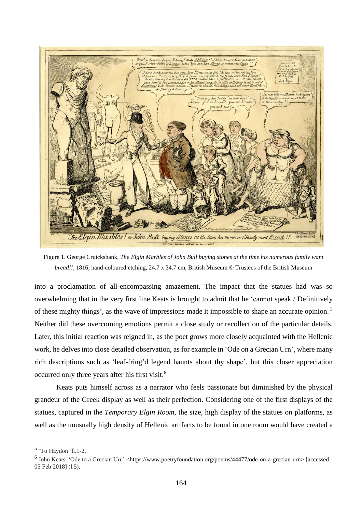

Figure 1. George Cruickshank, *The Elgin Marbles of John Bull buying stones at the time his numerous family want bread!!*, 1816, hand-coloured etching, 24.7 x 34.7 cm, British Museum © Trustees of the British Museum

into a proclamation of all-encompassing amazement. The impact that the statues had was so overwhelming that in the very first line Keats is brought to admit that he 'cannot speak / Definitively of these mighty things', as the wave of impressions made it impossible to shape an accurate opinion. <sup>5</sup> Neither did these overcoming emotions permit a close study or recollection of the particular details. Later, this initial reaction was reigned in, as the poet grows more closely acquainted with the Hellenic work, he delves into close detailed observation, as for example in 'Ode on a Grecian Urn', where many rich descriptions such as 'leaf-fring'd legend haunts about thy shape', but this closer appreciation occurred only three years after his first visit.<sup>6</sup>

Keats puts himself across as a narrator who feels passionate but diminished by the physical grandeur of the Greek display as well as their perfection. Considering one of the first displays of the statues, captured in the *Temporary Elgin Room,* the size, high display of the statues on platforms, as well as the unusually high density of Hellenic artifacts to be found in one room would have created a

<sup>5</sup> 'To Haydon' ll.1-2.

<sup>&</sup>lt;sup>6</sup> John Keats, 'Ode to a Grecian Urn' <https://www.poetryfoundation.org/poems/44477/ode-on-a-grecian-urn> [accessed 05 Feb 2018] (l.5).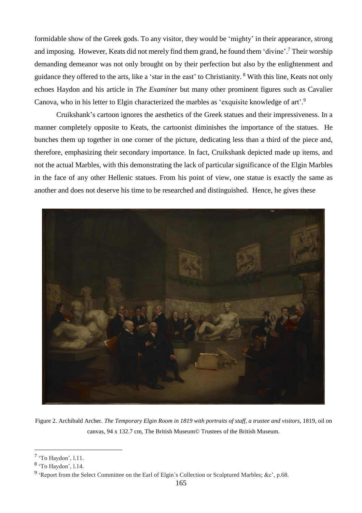formidable show of the Greek gods. To any visitor, they would be 'mighty' in their appearance, strong and imposing. However, Keats did not merely find them grand, he found them 'divine'. <sup>7</sup> Their worship demanding demeanor was not only brought on by their perfection but also by the enlightenment and guidance they offered to the arts, like a 'star in the east' to Christianity. <sup>8</sup> With this line, Keats not only echoes Haydon and his article in *The Examiner* but many other prominent figures such as Cavalier Canova, who in his letter to Elgin characterized the marbles as 'exquisite knowledge of art'.<sup>9</sup>

Cruikshank's cartoon ignores the aesthetics of the Greek statues and their impressiveness. In a manner completely opposite to Keats, the cartoonist diminishes the importance of the statues. He bunches them up together in one corner of the picture, dedicating less than a third of the piece and, therefore, emphasizing their secondary importance. In fact, Cruikshank depicted made up items, and not the actual Marbles, with this demonstrating the lack of particular significance of the Elgin Marbles in the face of any other Hellenic statues. From his point of view, one statue is exactly the same as another and does not deserve his time to be researched and distinguished. Hence, he gives these



Figure 2. Archibald Archer. *The Temporary Elgin Room in 1819 with portraits of staff, a trustee and visitors,* 1819, oil on canvas, 94 x 132.7 cm, The British Museum© Trustees of the British Museum.

<sup>&</sup>lt;sup>7</sup> 'To Haydon', l.11.

<sup>8</sup> 'To Haydon', l.14.

<sup>&</sup>lt;sup>9</sup> 'Report from the Select Committee on the Earl of Elgin's Collection or Sculptured Marbles; &c', p.68.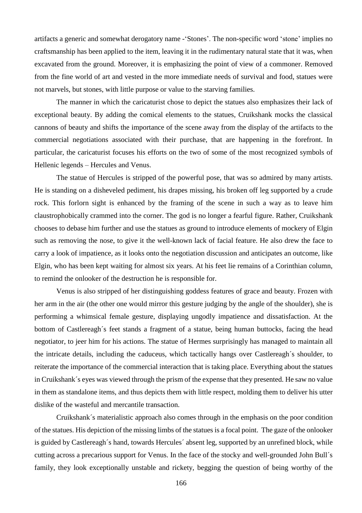artifacts a generic and somewhat derogatory name -'Stones'. The non-specific word 'stone' implies no craftsmanship has been applied to the item, leaving it in the rudimentary natural state that it was, when excavated from the ground. Moreover, it is emphasizing the point of view of a commoner. Removed from the fine world of art and vested in the more immediate needs of survival and food, statues were not marvels, but stones, with little purpose or value to the starving families.

The manner in which the caricaturist chose to depict the statues also emphasizes their lack of exceptional beauty. By adding the comical elements to the statues, Cruikshank mocks the classical cannons of beauty and shifts the importance of the scene away from the display of the artifacts to the commercial negotiations associated with their purchase, that are happening in the forefront. In particular, the caricaturist focuses his efforts on the two of some of the most recognized symbols of Hellenic legends – Hercules and Venus.

The statue of Hercules is stripped of the powerful pose, that was so admired by many artists. He is standing on a disheveled pediment, his drapes missing, his broken off leg supported by a crude rock. This forlorn sight is enhanced by the framing of the scene in such a way as to leave him claustrophobically crammed into the corner. The god is no longer a fearful figure. Rather, Cruikshank chooses to debase him further and use the statues as ground to introduce elements of mockery of Elgin such as removing the nose, to give it the well-known lack of facial feature. He also drew the face to carry a look of impatience, as it looks onto the negotiation discussion and anticipates an outcome, like Elgin, who has been kept waiting for almost six years. At his feet lie remains of a Corinthian column, to remind the onlooker of the destruction he is responsible for.

Venus is also stripped of her distinguishing goddess features of grace and beauty. Frozen with her arm in the air (the other one would mirror this gesture judging by the angle of the shoulder), she is performing a whimsical female gesture, displaying ungodly impatience and dissatisfaction. At the bottom of Castlereagh´s feet stands a fragment of a statue, being human buttocks, facing the head negotiator, to jeer him for his actions. The statue of Hermes surprisingly has managed to maintain all the intricate details, including the caduceus, which tactically hangs over Castlereagh´s shoulder, to reiterate the importance of the commercial interaction that is taking place. Everything about the statues in Cruikshank´s eyes was viewed through the prism of the expense that they presented. He saw no value in them as standalone items, and thus depicts them with little respect, molding them to deliver his utter dislike of the wasteful and mercantile transaction.

Cruikshank´s materialistic approach also comes through in the emphasis on the poor condition of the statues. His depiction of the missing limbs of the statues is a focal point. The gaze of the onlooker is guided by Castlereagh´s hand, towards Hercules´ absent leg, supported by an unrefined block, while cutting across a precarious support for Venus. In the face of the stocky and well-grounded John Bull´s family, they look exceptionally unstable and rickety, begging the question of being worthy of the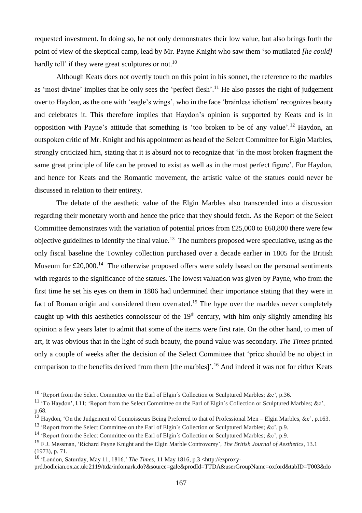requested investment. In doing so, he not only demonstrates their low value, but also brings forth the point of view of the skeptical camp, lead by Mr. Payne Knight who saw them 'so mutilated *[he could]* hardly tell' if they were great sculptures or not.<sup>10</sup>

Although Keats does not overtly touch on this point in his sonnet, the reference to the marbles as 'most divine' implies that he only sees the 'perfect flesh'.<sup>11</sup> He also passes the right of judgement over to Haydon, as the one with 'eagle's wings', who in the face 'brainless idiotism' recognizes beauty and celebrates it. This therefore implies that Haydon's opinion is supported by Keats and is in opposition with Payne's attitude that something is 'too broken to be of any value'.<sup>12</sup> Haydon, an outspoken critic of Mr. Knight and his appointment as head of the Select Committee for Elgin Marbles, strongly criticized him, stating that it is absurd not to recognize that 'in the most broken fragment the same great principle of life can be proved to exist as well as in the most perfect figure'. For Haydon, and hence for Keats and the Romantic movement, the artistic value of the statues could never be discussed in relation to their entirety.

The debate of the aesthetic value of the Elgin Marbles also transcended into a discussion regarding their monetary worth and hence the price that they should fetch. As the Report of the Select Committee demonstrates with the variation of potential prices from £25,000 to £60,800 there were few objective guidelines to identify the final value.<sup>13</sup> The numbers proposed were speculative, using as the only fiscal baseline the Townley collection purchased over a decade earlier in 1805 for the British Museum for £20,000.<sup>14</sup> The otherwise proposed offers were solely based on the personal sentiments with regards to the significance of the statues. The lowest valuation was given by Payne, who from the first time he set his eyes on them in 1806 had undermined their importance stating that they were in fact of Roman origin and considered them overrated.<sup>15</sup> The hype over the marbles never completely caught up with this aesthetics connoisseur of the 19<sup>th</sup> century, with him only slightly amending his opinion a few years later to admit that some of the items were first rate. On the other hand, to men of art, it was obvious that in the light of such beauty, the pound value was secondary. *The Times* printed only a couple of weeks after the decision of the Select Committee that 'price should be no object in comparison to the benefits derived from them [the marbles]'.<sup>16</sup> And indeed it was not for either Keats

<sup>&</sup>lt;sup>10</sup> 'Report from the Select Committee on the Earl of Elgin's Collection or Sculptured Marbles; &c', p.36.

<sup>&</sup>lt;sup>11</sup> 'To Haydon', l.11; 'Report from the Select Committee on the Earl of Elgin's Collection or Sculptured Marbles; &c', p.68.

<sup>&</sup>lt;sup>12</sup> Haydon, 'On the Judgement of Connoisseurs Being Preferred to that of Professional Men – Elgin Marbles, &c', p.163.

<sup>&</sup>lt;sup>13</sup> 'Report from the Select Committee on the Earl of Elgin's Collection or Sculptured Marbles; &c', p.9.

<sup>&</sup>lt;sup>14</sup> 'Report from the Select Committee on the Earl of Elgin's Collection or Sculptured Marbles; &c', p.9.

<sup>15</sup> F.J. Messman, 'Richard Payne Knight and the Elgin Marble Controversy', *The British Journal of Aesthetics*, 13.1 (1973), p. 71.

<sup>16</sup> 'London, Saturday, May 11, 1816.' *The Times,* 11 May 1816, p.3 <http://ezproxy-

prd.bodleian.ox.ac.uk:2119/ttda/infomark.do?&source=gale&prodId=TTDA&userGroupName=oxford&tabID=T003&do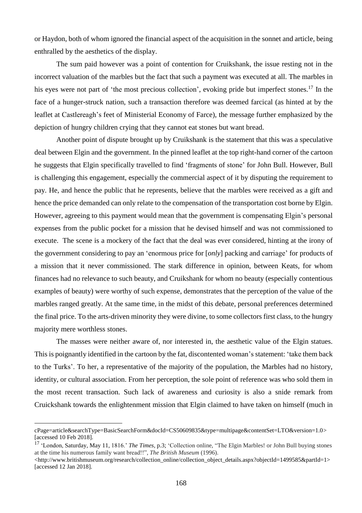or Haydon, both of whom ignored the financial aspect of the acquisition in the sonnet and article, being enthralled by the aesthetics of the display.

The sum paid however was a point of contention for Cruikshank, the issue resting not in the incorrect valuation of the marbles but the fact that such a payment was executed at all. The marbles in his eyes were not part of 'the most precious collection', evoking pride but imperfect stones.<sup>17</sup> In the face of a hunger-struck nation, such a transaction therefore was deemed farcical (as hinted at by the leaflet at Castlereagh's feet of Ministerial Economy of Farce), the message further emphasized by the depiction of hungry children crying that they cannot eat stones but want bread.

Another point of dispute brought up by Cruikshank is the statement that this was a speculative deal between Elgin and the government. In the pinned leaflet at the top right-hand corner of the cartoon he suggests that Elgin specifically travelled to find 'fragments of stone' for John Bull. However, Bull is challenging this engagement, especially the commercial aspect of it by disputing the requirement to pay. He, and hence the public that he represents, believe that the marbles were received as a gift and hence the price demanded can only relate to the compensation of the transportation cost borne by Elgin. However, agreeing to this payment would mean that the government is compensating Elgin's personal expenses from the public pocket for a mission that he devised himself and was not commissioned to execute. The scene is a mockery of the fact that the deal was ever considered, hinting at the irony of the government considering to pay an 'enormous price for [*only*] packing and carriage' for products of a mission that it never commissioned. The stark difference in opinion, between Keats, for whom finances had no relevance to such beauty, and Cruikshank for whom no beauty (especially contentious examples of beauty) were worthy of such expense, demonstrates that the perception of the value of the marbles ranged greatly. At the same time, in the midst of this debate, personal preferences determined the final price. To the arts-driven minority they were divine, to some collectors first class, to the hungry majority mere worthless stones.

The masses were neither aware of, nor interested in, the aesthetic value of the Elgin statues. This is poignantly identified in the cartoon by the fat, discontented woman's statement: 'take them back to the Turks'. To her, a representative of the majority of the population, the Marbles had no history, identity, or cultural association. From her perception, the sole point of reference was who sold them in the most recent transaction. Such lack of awareness and curiosity is also a snide remark from Cruickshank towards the enlightenment mission that Elgin claimed to have taken on himself (much in

cPage=article&searchType=BasicSearchForm&docId=CS50609835&type=multipage&contentSet=LTO&version=1.0> [accessed 10 Feb 2018].

<sup>17</sup> 'London, Saturday, May 11, 1816.' *The Times,* p.3; 'Collection online, "The Elgin Marbles! or John Bull buying stones at the time his numerous family want bread!!", *The British Museum* (1996).

<sup>&</sup>lt;http://www.britishmuseum.org/research/collection\_online/collection\_object\_details.aspx?objectId=1499585&partId=1> [accessed 12 Jan 2018].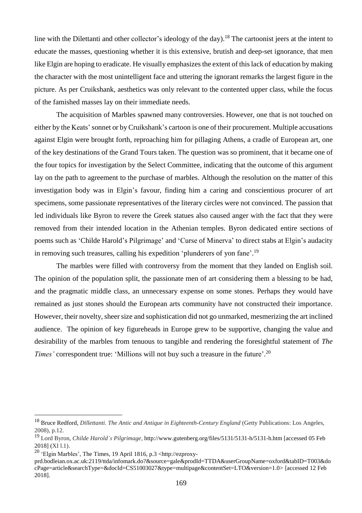line with the Dilettanti and other collector's ideology of the day).<sup>18</sup> The cartoonist jeers at the intent to educate the masses, questioning whether it is this extensive, brutish and deep-set ignorance, that men like Elgin are hoping to eradicate. He visually emphasizes the extent of this lack of education by making the character with the most unintelligent face and uttering the ignorant remarks the largest figure in the picture. As per Cruikshank, aesthetics was only relevant to the contented upper class, while the focus of the famished masses lay on their immediate needs.

The acquisition of Marbles spawned many controversies. However, one that is not touched on either by the Keats'sonnet or by Cruikshank's cartoon is one of their procurement. Multiple accusations against Elgin were brought forth, reproaching him for pillaging Athens, a cradle of European art, one of the key destinations of the Grand Tours taken. The question was so prominent, that it became one of the four topics for investigation by the Select Committee, indicating that the outcome of this argument lay on the path to agreement to the purchase of marbles. Although the resolution on the matter of this investigation body was in Elgin's favour, finding him a caring and conscientious procurer of art specimens, some passionate representatives of the literary circles were not convinced. The passion that led individuals like Byron to revere the Greek statues also caused anger with the fact that they were removed from their intended location in the Athenian temples. Byron dedicated entire sections of poems such as 'Childe Harold's Pilgrimage' and 'Curse of Minerva' to direct stabs at Elgin's audacity in removing such treasures, calling his expedition 'plunderers of yon fane'.<sup>19</sup>

The marbles were filled with controversy from the moment that they landed on English soil. The opinion of the population split, the passionate men of art considering them a blessing to be had, and the pragmatic middle class, an unnecessary expense on some stones. Perhaps they would have remained as just stones should the European arts community have not constructed their importance. However, their novelty, sheer size and sophistication did not go unmarked, mesmerizing the art inclined audience. The opinion of key figureheads in Europe grew to be supportive, changing the value and desirability of the marbles from tenuous to tangible and rendering the foresightful statement of *The Times'* correspondent true: 'Millions will not buy such a treasure in the future'. 20

<sup>18</sup> Bruce Redford, *Dillettanti. The Antic and Antique in Eighteenth-Century England* (Getty Publications: Los Angeles, 2008), p.12.

<sup>19</sup> Lord Byron, *Childe Harold's Pilgrimage*, http://www.gutenberg.org/files/5131/5131-h/5131-h.htm [accessed 05 Feb 2018] (XI l.1).

<sup>20</sup> 'Elgin Marbles', The Times, 19 April 1816, p.3 <http://ezproxy-

prd.bodleian.ox.ac.uk:2119/ttda/infomark.do?&source=gale&prodId=TTDA&userGroupName=oxford&tabID=T003&do cPage=article&searchType=&docId=CS51003027&type=multipage&contentSet=LTO&version=1.0> [accessed 12 Feb 2018].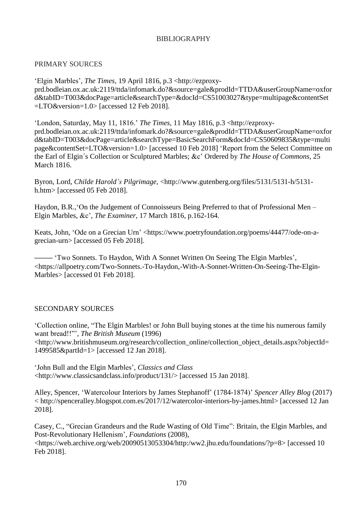# BIBLIOGRAPHY

## PRIMARY SOURCES

'Elgin Marbles', *The Times,* 19 April 1816, p.3 <http://ezproxyprd.bodleian.ox.ac.uk:2119/ttda/infomark.do?&source=gale&prodId=TTDA&userGroupName=oxfor d&tabID=T003&docPage=article&searchType=&docId=CS51003027&type=multipage&contentSet =LTO&version=1.0> [accessed 12 Feb 2018].

'London, Saturday, May 11, 1816.' *The Times,* 11 May 1816, p.3 <http://ezproxyprd.bodleian.ox.ac.uk:2119/ttda/infomark.do?&source=gale&prodId=TTDA&userGroupName=oxfor d&tabID=T003&docPage=article&searchType=BasicSearchForm&docId=CS50609835&type=multi page&contentSet=LTO&version=1.0> [accessed 10 Feb 2018] 'Report from the Select Committee on the Earl of Elgin´s Collection or Sculptured Marbles; &c' Ordered by *The House of Commons,* 25 March 1816.

Byron, Lord, *Childe Harold's Pilgrimage*, <http://www.gutenberg.org/files/5131/5131-h/5131 h.htm> [accessed 05 Feb 2018].

Haydon, B.R.,'On the Judgement of Connoisseurs Being Preferred to that of Professional Men – Elgin Marbles, &c', *The Examiner,* 17 March 1816, p.162-164.

Keats, John, 'Ode on a Grecian Urn' <https://www.poetryfoundation.org/poems/44477/ode-on-agrecian-urn> [accessed 05 Feb 2018].

——— 'Two Sonnets. To Haydon, With A Sonnet Written On Seeing The Elgin Marbles', <https://allpoetry.com/Two-Sonnets.-To-Haydon,-With-A-Sonnet-Written-On-Seeing-The-Elgin-Marbles> [accessed 01 Feb 2018].

## SECONDARY SOURCES

'Collection online, "The Elgin Marbles! or John Bull buying stones at the time his numerous family want bread!!"', *The British Museum* (1996) <http://www.britishmuseum.org/research/collection\_online/collection\_object\_details.aspx?objectId= 1499585&partId=1> [accessed 12 Jan 2018].

'John Bull and the Elgin Marbles', *Classics and Class* <http://www.classicsandclass.info/product/131/> [accessed 15 Jan 2018].

Alley, Spencer, 'Watercolour Interiors by James Stephanoff' (1784-1874)' *Spencer Alley Blog* (2017) < http://spenceralley.blogspot.com.es/2017/12/watercolor-interiors-by-james.html> [accessed 12 Jan 2018].

Casey, C., "Grecian Grandeurs and the Rude Wasting of Old Time": Britain, the Elgin Marbles, and Post-Revolutionary Hellenism', *Foundations* (2008), <https://web.archive.org/web/20090513053304/http:/ww2.jhu.edu/foundations/?p=8> [accessed 10 Feb 2018].